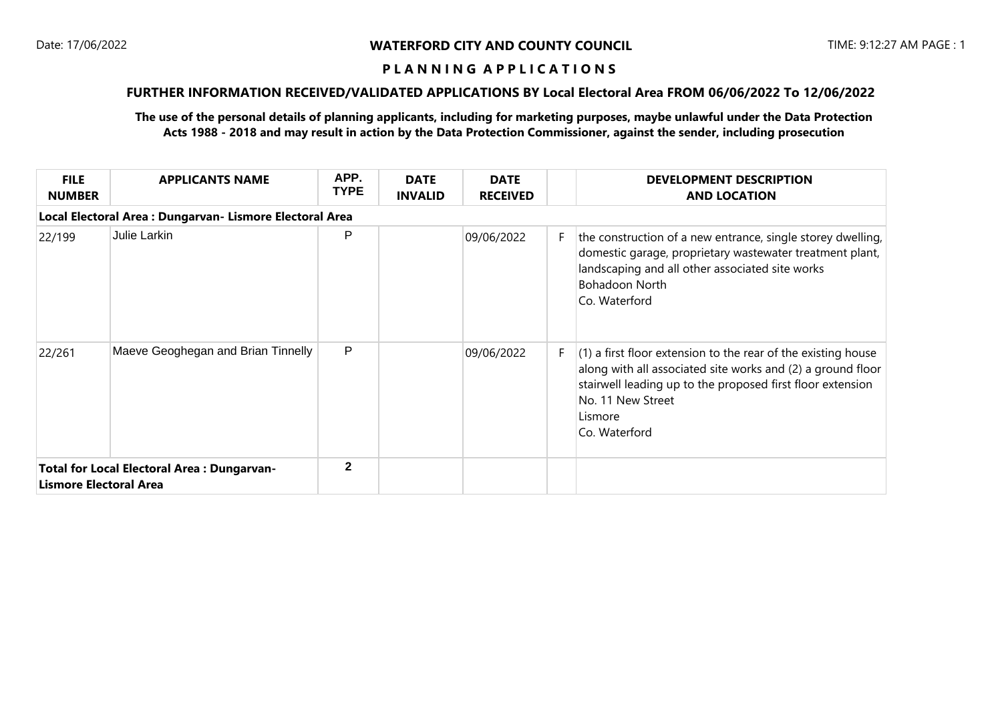### **P L A N N I N G A P P L I C A T I O N S**

# **FURTHER INFORMATION RECEIVED/VALIDATED APPLICATIONS BY Local Electoral Area FROM 06/06/2022 To 12/06/2022**

**The use of the personal details of planning applicants, including for marketing purposes, maybe unlawful under the Data Protection Acts 1988 - 2018 and may result in action by the Data Protection Commissioner, against the sender, including prosecution**

| <b>FILE</b><br><b>NUMBER</b>                                                       | <b>APPLICANTS NAME</b>             | APP.<br><b>TYPE</b> | <b>DATE</b><br><b>INVALID</b> | <b>DATE</b><br><b>RECEIVED</b> |    | <b>DEVELOPMENT DESCRIPTION</b><br><b>AND LOCATION</b>                                                                                                                                                                                       |  |  |
|------------------------------------------------------------------------------------|------------------------------------|---------------------|-------------------------------|--------------------------------|----|---------------------------------------------------------------------------------------------------------------------------------------------------------------------------------------------------------------------------------------------|--|--|
| Local Electoral Area : Dungarvan- Lismore Electoral Area                           |                                    |                     |                               |                                |    |                                                                                                                                                                                                                                             |  |  |
| 22/199                                                                             | Julie Larkin                       | P                   |                               | 09/06/2022                     | F. | the construction of a new entrance, single storey dwelling,<br>domestic garage, proprietary wastewater treatment plant,<br>landscaping and all other associated site works<br><b>Bohadoon North</b><br>Co. Waterford                        |  |  |
| 22/261                                                                             | Maeve Geoghegan and Brian Tinnelly | P                   |                               | 09/06/2022                     | F. | (1) a first floor extension to the rear of the existing house<br>along with all associated site works and (2) a ground floor<br>stairwell leading up to the proposed first floor extension<br>No. 11 New Street<br>Lismore<br>Co. Waterford |  |  |
| <b>Total for Local Electoral Area: Dungarvan-</b><br><b>Lismore Electoral Area</b> |                                    | $\mathbf{2}$        |                               |                                |    |                                                                                                                                                                                                                                             |  |  |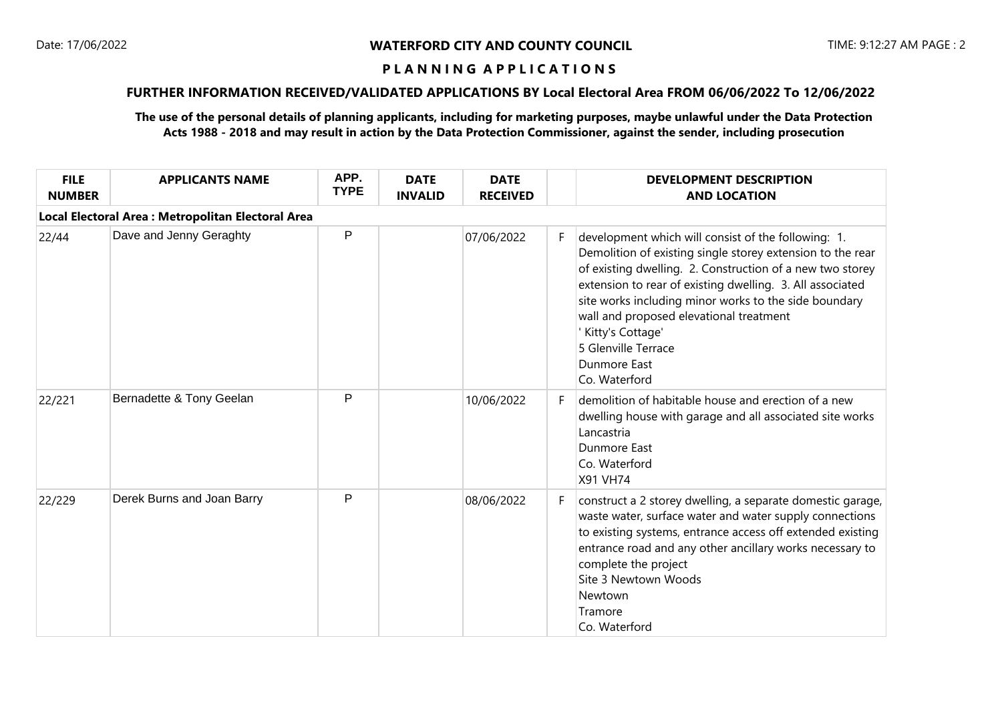# **P L A N N I N G A P P L I C A T I O N S**

# **FURTHER INFORMATION RECEIVED/VALIDATED APPLICATIONS BY Local Electoral Area FROM 06/06/2022 To 12/06/2022**

**The use of the personal details of planning applicants, including for marketing purposes, maybe unlawful under the Data Protection Acts 1988 - 2018 and may result in action by the Data Protection Commissioner, against the sender, including prosecution**

| <b>FILE</b><br><b>NUMBER</b>                       | <b>APPLICANTS NAME</b>     | APP.<br><b>TYPE</b> | <b>DATE</b><br><b>INVALID</b> | <b>DATE</b><br><b>RECEIVED</b> |    | <b>DEVELOPMENT DESCRIPTION</b><br><b>AND LOCATION</b>                                                                                                                                                                                                                                                                                                                                                                       |  |  |  |
|----------------------------------------------------|----------------------------|---------------------|-------------------------------|--------------------------------|----|-----------------------------------------------------------------------------------------------------------------------------------------------------------------------------------------------------------------------------------------------------------------------------------------------------------------------------------------------------------------------------------------------------------------------------|--|--|--|
| Local Electoral Area : Metropolitan Electoral Area |                            |                     |                               |                                |    |                                                                                                                                                                                                                                                                                                                                                                                                                             |  |  |  |
| 22/44                                              | Dave and Jenny Geraghty    | P                   |                               | 07/06/2022                     | F. | development which will consist of the following: 1.<br>Demolition of existing single storey extension to the rear<br>of existing dwelling. 2. Construction of a new two storey<br>extension to rear of existing dwelling. 3. All associated<br>site works including minor works to the side boundary<br>wall and proposed elevational treatment<br>Kitty's Cottage'<br>5 Glenville Terrace<br>Dunmore East<br>Co. Waterford |  |  |  |
| 22/221                                             | Bernadette & Tony Geelan   | P                   |                               | 10/06/2022                     | F. | demolition of habitable house and erection of a new<br>dwelling house with garage and all associated site works<br>Lancastria<br>Dunmore East<br>Co. Waterford<br><b>X91 VH74</b>                                                                                                                                                                                                                                           |  |  |  |
| 22/229                                             | Derek Burns and Joan Barry | P                   |                               | 08/06/2022                     | F. | construct a 2 storey dwelling, a separate domestic garage,<br>waste water, surface water and water supply connections<br>to existing systems, entrance access off extended existing<br>entrance road and any other ancillary works necessary to<br>complete the project<br>Site 3 Newtown Woods<br>Newtown<br>Tramore<br>Co. Waterford                                                                                      |  |  |  |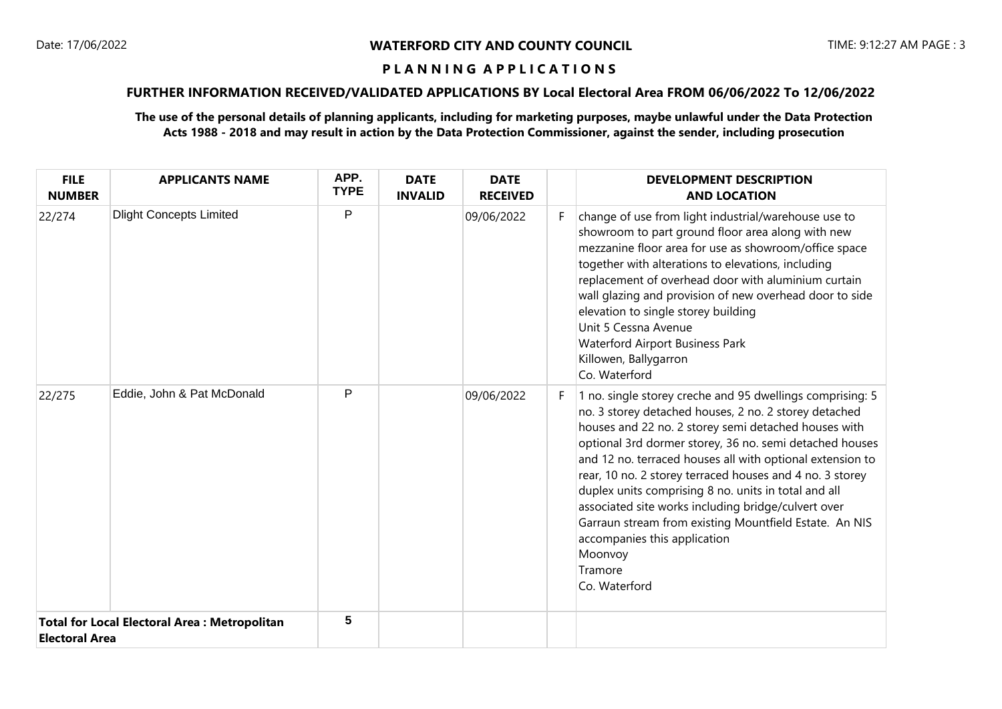## **P L A N N I N G A P P L I C A T I O N S**

# **FURTHER INFORMATION RECEIVED/VALIDATED APPLICATIONS BY Local Electoral Area FROM 06/06/2022 To 12/06/2022**

**The use of the personal details of planning applicants, including for marketing purposes, maybe unlawful under the Data Protection Acts 1988 - 2018 and may result in action by the Data Protection Commissioner, against the sender, including prosecution**

| <b>FILE</b><br><b>NUMBER</b>                                                 | <b>APPLICANTS NAME</b>         | APP.<br><b>TYPE</b> | <b>DATE</b><br><b>INVALID</b> | <b>DATE</b><br><b>RECEIVED</b> |    | <b>DEVELOPMENT DESCRIPTION</b><br><b>AND LOCATION</b>                                                                                                                                                                                                                                                                                                                                                                                                                                                                                                                                                          |
|------------------------------------------------------------------------------|--------------------------------|---------------------|-------------------------------|--------------------------------|----|----------------------------------------------------------------------------------------------------------------------------------------------------------------------------------------------------------------------------------------------------------------------------------------------------------------------------------------------------------------------------------------------------------------------------------------------------------------------------------------------------------------------------------------------------------------------------------------------------------------|
| 22/274                                                                       | <b>Dlight Concepts Limited</b> | P                   |                               | 09/06/2022                     | F. | change of use from light industrial/warehouse use to<br>showroom to part ground floor area along with new<br>mezzanine floor area for use as showroom/office space<br>together with alterations to elevations, including<br>replacement of overhead door with aluminium curtain<br>wall glazing and provision of new overhead door to side<br>elevation to single storey building<br>Unit 5 Cessna Avenue<br><b>Waterford Airport Business Park</b><br>Killowen, Ballygarron<br>Co. Waterford                                                                                                                  |
| 22/275                                                                       | Eddie, John & Pat McDonald     | P                   |                               | 09/06/2022                     | F. | 1 no. single storey creche and 95 dwellings comprising: 5<br>no. 3 storey detached houses, 2 no. 2 storey detached<br>houses and 22 no. 2 storey semi detached houses with<br>optional 3rd dormer storey, 36 no. semi detached houses<br>and 12 no. terraced houses all with optional extension to<br>rear, 10 no. 2 storey terraced houses and 4 no. 3 storey<br>duplex units comprising 8 no. units in total and all<br>associated site works including bridge/culvert over<br>Garraun stream from existing Mountfield Estate. An NIS<br>accompanies this application<br>Moonvoy<br>Tramore<br>Co. Waterford |
| <b>Total for Local Electoral Area: Metropolitan</b><br><b>Electoral Area</b> |                                | 5                   |                               |                                |    |                                                                                                                                                                                                                                                                                                                                                                                                                                                                                                                                                                                                                |